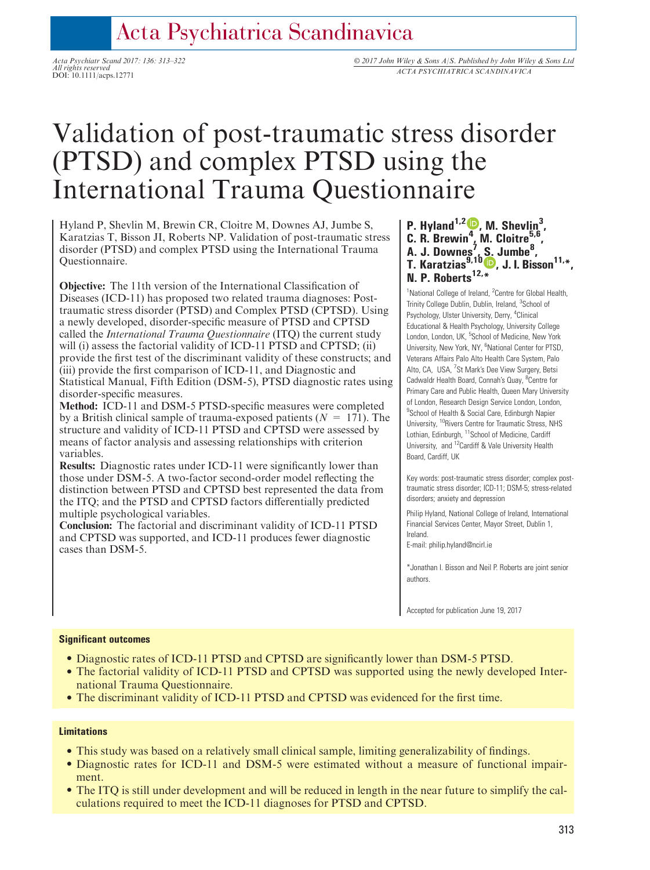# Acta Psychiatrica Scandinavica

All rights reserved All rights reserved<br>DOI: 10.1111/acps.12771 ACTA PSYCHIATRICA SCANDINAVICA

# Acta Psychiatr Scand 2017: 136: 313–322 © 2017 John Wiley & Sons A/S. Published by John Wiley & Sons Ltd

# Validation of post-traumatic stress disorder (PTSD) and complex PTSD using the International Trauma Questionnaire

Hyland P, Shevlin M, Brewin CR, Cloitre M, Downes AJ, Jumbe S, Karatzias T, Bisson JI, Roberts NP. Validation of post-traumatic stress disorder (PTSD) and complex PTSD using the International Trauma Questionnaire.

Objective: The 11th version of the International Classification of Diseases (ICD-11) has proposed two related trauma diagnoses: Posttraumatic stress disorder (PTSD) and Complex PTSD (CPTSD). Using a newly developed, disorder-specific measure of PTSD and CPTSD called the International Trauma Questionnaire (ITQ) the current study will (i) assess the factorial validity of ICD-11 PTSD and CPTSD; (ii) provide the first test of the discriminant validity of these constructs; and (iii) provide the first comparison of ICD-11, and Diagnostic and Statistical Manual, Fifth Edition (DSM-5), PTSD diagnostic rates using disorder-specific measures.

Method: ICD-11 and DSM-5 PTSD-specific measures were completed by a British clinical sample of trauma-exposed patients ( $N = 171$ ). The structure and validity of ICD-11 PTSD and CPTSD were assessed by means of factor analysis and assessing relationships with criterion variables.

Results: Diagnostic rates under ICD-11 were significantly lower than those under DSM-5. A two-factor second-order model reflecting the distinction between PTSD and CPTSD best represented the data from the ITQ; and the PTSD and CPTSD factors differentially predicted multiple psychological variables.

Conclusion: The factorial and discriminant validity of ICD-11 PTSD and CPTSD was supported, and ICD-11 produces fewer diagnostic cases than DSM-5.

#### P. Hyland<sup>1[,](http://orcid.org/0000-0002-9574-7128)2</sup> $\bullet$ , M. Shevlin<sup>3</sup> , C. R. Brewin<sup>[4](http://orcid.org/0000-0002-9574-7128)</sup>, M. Cloitre<sup>5,6</sup>, A. J. Downes<sup>7</sup>, S. Jumbe<sup>8</sup>, T. Karatzias<sup>9[,](http://orcid.org/0000-0002-3002-0630)10</sup> , J. I. Bisson<sup>11,\*</sup>, N. P. Roberts<sup>12[,\\*](http://orcid.org/0000-0002-3002-0630)</sup>

<sup>1</sup>National College of Ireland, <sup>2</sup>Centre for Global Health, Trinity College Dublin, Dublin, Ireland, <sup>3</sup>School of Psychology, Ulster University, Derry, <sup>4</sup>Clinical Educational & Health Psychology, University College London, London, UK, <sup>5</sup>School of Medicine, New York University, New York, NY, <sup>6</sup>National Center for PTSD, Veterans Affairs Palo Alto Health Care System, Palo Alto, CA, USA, 7St Mark's Dee View Surgery, Betsi Cadwaldr Health Board, Connah's Quay, <sup>8</sup>Centre for Primary Care and Public Health, Queen Mary University of London, Research Design Service London, London, <sup>9</sup>School of Health & Social Care, Edinburgh Napier University, 10Rivers Centre for Traumatic Stress, NHS Lothian, Edinburgh, <sup>11</sup>School of Medicine, Cardiff University, and 12Cardiff & Vale University Health Board, Cardiff, UK

Key words: post-traumatic stress disorder; complex posttraumatic stress disorder; ICD-11; DSM-5; stress-related disorders; anxiety and depression

Philip Hyland, National College of Ireland, International Financial Services Center, Mayor Street, Dublin 1, Ireland.

E-mail: philip.hyland@ncirl.ie

\*Jonathan I. Bisson and Neil P. Roberts are joint senior authors.

Accepted for publication June 19, 2017

# Significant outcomes

- Diagnostic rates of ICD-11 PTSD and CPTSD are significantly lower than DSM-5 PTSD.
- The factorial validity of ICD-11 PTSD and CPTSD was supported using the newly developed International Trauma Questionnaire.
- The discriminant validity of ICD-11 PTSD and CPTSD was evidenced for the first time.

#### **Limitations**

- This study was based on a relatively small clinical sample, limiting generalizability of findings.
- Diagnostic rates for ICD-11 and DSM-5 were estimated without a measure of functional impairment.
- The ITQ is still under development and will be reduced in length in the near future to simplify the calculations required to meet the ICD-11 diagnoses for PTSD and CPTSD.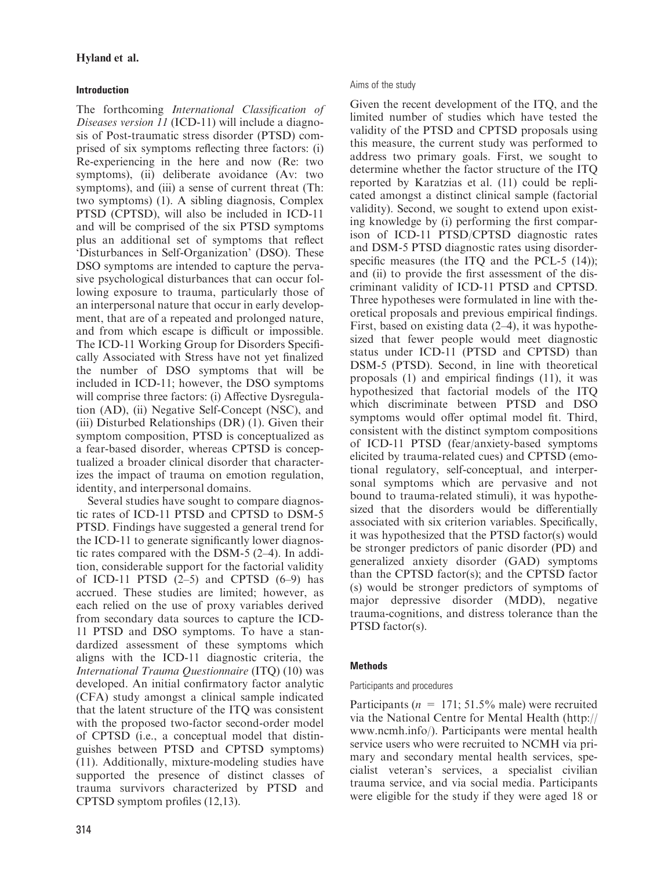# Introduction

The forthcoming International Classification of Diseases version 11 (ICD-11) will include a diagnosis of Post-traumatic stress disorder (PTSD) comprised of six symptoms reflecting three factors: (i) Re-experiencing in the here and now (Re: two symptoms), (ii) deliberate avoidance (Av: two symptoms), and (iii) a sense of current threat (Th: two symptoms) (1). A sibling diagnosis, Complex PTSD (CPTSD), will also be included in ICD-11 and will be comprised of the six PTSD symptoms plus an additional set of symptoms that reflect 'Disturbances in Self-Organization' (DSO). These DSO symptoms are intended to capture the pervasive psychological disturbances that can occur following exposure to trauma, particularly those of an interpersonal nature that occur in early development, that are of a repeated and prolonged nature, and from which escape is difficult or impossible. The ICD-11 Working Group for Disorders Specifically Associated with Stress have not yet finalized the number of DSO symptoms that will be included in ICD-11; however, the DSO symptoms will comprise three factors: (i) Affective Dysregulation (AD), (ii) Negative Self-Concept (NSC), and (iii) Disturbed Relationships (DR) (1). Given their symptom composition, PTSD is conceptualized as a fear-based disorder, whereas CPTSD is conceptualized a broader clinical disorder that characterizes the impact of trauma on emotion regulation, identity, and interpersonal domains.

Several studies have sought to compare diagnostic rates of ICD-11 PTSD and CPTSD to DSM-5 PTSD. Findings have suggested a general trend for the ICD-11 to generate significantly lower diagnostic rates compared with the DSM-5 (2–4). In addition, considerable support for the factorial validity of ICD-11 PTSD  $(2-5)$  and CPTSD  $(6-9)$  has accrued. These studies are limited; however, as each relied on the use of proxy variables derived from secondary data sources to capture the ICD-11 PTSD and DSO symptoms. To have a standardized assessment of these symptoms which aligns with the ICD-11 diagnostic criteria, the International Trauma Questionnaire (ITQ) (10) was developed. An initial confirmatory factor analytic (CFA) study amongst a clinical sample indicated that the latent structure of the ITQ was consistent with the proposed two-factor second-order model of CPTSD (i.e., a conceptual model that distinguishes between PTSD and CPTSD symptoms) (11). Additionally, mixture-modeling studies have supported the presence of distinct classes of trauma survivors characterized by PTSD and CPTSD symptom profiles (12,13).

# Aims of the study

Given the recent development of the ITQ, and the limited number of studies which have tested the validity of the PTSD and CPTSD proposals using this measure, the current study was performed to address two primary goals. First, we sought to determine whether the factor structure of the ITQ reported by Karatzias et al. (11) could be replicated amongst a distinct clinical sample (factorial validity). Second, we sought to extend upon existing knowledge by (i) performing the first comparison of ICD-11 PTSD/CPTSD diagnostic rates and DSM-5 PTSD diagnostic rates using disorderspecific measures (the ITQ and the PCL-5 (14)); and (ii) to provide the first assessment of the discriminant validity of ICD-11 PTSD and CPTSD. Three hypotheses were formulated in line with theoretical proposals and previous empirical findings. First, based on existing data (2–4), it was hypothesized that fewer people would meet diagnostic status under ICD-11 (PTSD and CPTSD) than DSM-5 (PTSD). Second, in line with theoretical proposals (1) and empirical findings (11), it was hypothesized that factorial models of the ITQ which discriminate between PTSD and DSO symptoms would offer optimal model fit. Third, consistent with the distinct symptom compositions of ICD-11 PTSD (fear/anxiety-based symptoms elicited by trauma-related cues) and CPTSD (emotional regulatory, self-conceptual, and interpersonal symptoms which are pervasive and not bound to trauma-related stimuli), it was hypothesized that the disorders would be differentially associated with six criterion variables. Specifically, it was hypothesized that the PTSD factor(s) would be stronger predictors of panic disorder (PD) and generalized anxiety disorder (GAD) symptoms than the CPTSD factor(s); and the CPTSD factor (s) would be stronger predictors of symptoms of major depressive disorder (MDD), negative trauma-cognitions, and distress tolerance than the PTSD factor(s).

# Methods

# Participants and procedures

Participants ( $n = 171$ ; 51.5% male) were recruited via the National Centre for Mental Health [\(http://](http://www.ncmh.info/) [www.ncmh.info/\)](http://www.ncmh.info/). Participants were mental health service users who were recruited to NCMH via primary and secondary mental health services, specialist veteran's services, a specialist civilian trauma service, and via social media. Participants were eligible for the study if they were aged 18 or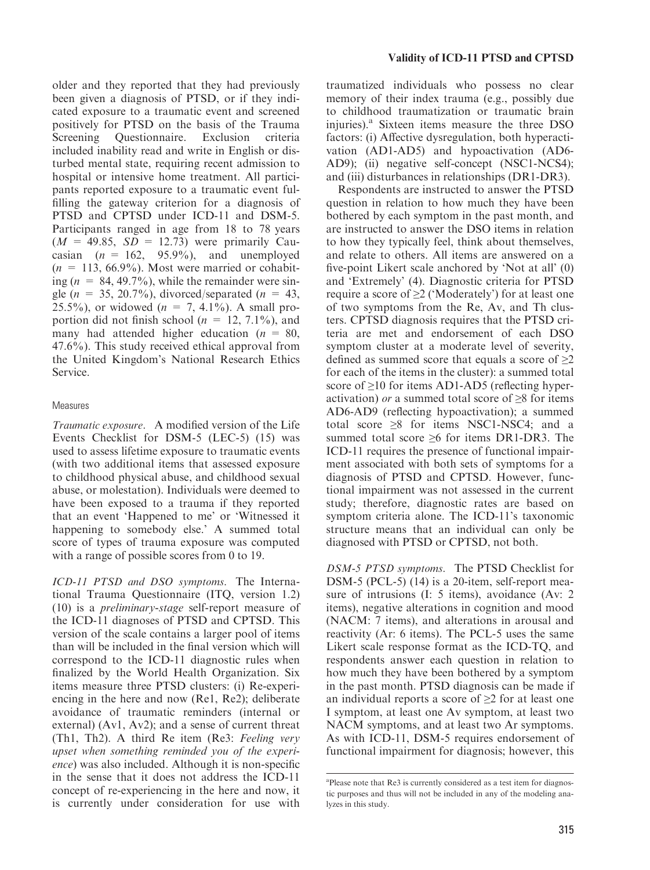older and they reported that they had previously been given a diagnosis of PTSD, or if they indicated exposure to a traumatic event and screened positively for PTSD on the basis of the Trauma Screening Questionnaire. Exclusion criteria included inability read and write in English or disturbed mental state, requiring recent admission to hospital or intensive home treatment. All participants reported exposure to a traumatic event fulfilling the gateway criterion for a diagnosis of PTSD and CPTSD under ICD-11 and DSM-5. Participants ranged in age from 18 to 78 years  $(M = 49.85, SD = 12.73)$  were primarily Caucasian  $(n = 162, 95.9\%)$ , and unemployed  $(n = 113, 66.9\%)$ . Most were married or cohabiting  $(n = 84, 49.7\%)$ , while the remainder were single ( $n = 35, 20.7\%$ ), divorced/separated ( $n = 43$ , 25.5%), or widowed ( $n = 7, 4.1\%$ ). A small proportion did not finish school ( $n = 12, 7.1\%$ ), and many had attended higher education ( $n = 80$ , 47.6%). This study received ethical approval from the United Kingdom's National Research Ethics Service.

### Measures

Traumatic exposure. A modified version of the Life Events Checklist for DSM-5 (LEC-5) (15) was used to assess lifetime exposure to traumatic events (with two additional items that assessed exposure to childhood physical abuse, and childhood sexual abuse, or molestation). Individuals were deemed to have been exposed to a trauma if they reported that an event 'Happened to me' or 'Witnessed it happening to somebody else.' A summed total score of types of trauma exposure was computed with a range of possible scores from 0 to 19.

ICD-11 PTSD and DSO symptoms. The International Trauma Questionnaire (ITQ, version 1.2) (10) is a preliminary-stage self-report measure of the ICD-11 diagnoses of PTSD and CPTSD. This version of the scale contains a larger pool of items than will be included in the final version which will correspond to the ICD-11 diagnostic rules when finalized by the World Health Organization. Six items measure three PTSD clusters: (i) Re-experiencing in the here and now (Re1, Re2); deliberate avoidance of traumatic reminders (internal or external) (Av1, Av2); and a sense of current threat (Th1, Th2). A third Re item (Re3: Feeling very upset when something reminded you of the experience) was also included. Although it is non-specific in the sense that it does not address the ICD-11 concept of re-experiencing in the here and now, it is currently under consideration for use with

traumatized individuals who possess no clear memory of their index trauma (e.g., possibly due to childhood traumatization or traumatic brain injuries).<sup>a</sup> Sixteen items measure the three DSO factors: (i) Affective dysregulation, both hyperactivation (AD1-AD5) and hypoactivation (AD6- AD9); (ii) negative self-concept (NSC1-NCS4); and (iii) disturbances in relationships (DR1-DR3).

Respondents are instructed to answer the PTSD question in relation to how much they have been bothered by each symptom in the past month, and are instructed to answer the DSO items in relation to how they typically feel, think about themselves, and relate to others. All items are answered on a five-point Likert scale anchored by 'Not at all' (0) and 'Extremely' (4). Diagnostic criteria for PTSD require a score of ≥2 ('Moderately') for at least one of two symptoms from the Re, Av, and Th clusters. CPTSD diagnosis requires that the PTSD criteria are met and endorsement of each DSO symptom cluster at a moderate level of severity, defined as summed score that equals a score of  $\geq 2$ for each of the items in the cluster): a summed total score of ≥10 for items AD1-AD5 (reflecting hyperactivation) *or* a summed total score of  $\geq$ 8 for items AD6-AD9 (reflecting hypoactivation); a summed total score  $\geq 8$  for items NSC1-NSC4; and a summed total score  $\geq 6$  for items DR1-DR3. The ICD-11 requires the presence of functional impairment associated with both sets of symptoms for a diagnosis of PTSD and CPTSD. However, functional impairment was not assessed in the current study; therefore, diagnostic rates are based on symptom criteria alone. The ICD-11's taxonomic structure means that an individual can only be diagnosed with PTSD or CPTSD, not both.

DSM-5 PTSD symptoms. The PTSD Checklist for DSM-5 (PCL-5) (14) is a 20-item, self-report measure of intrusions (I: 5 items), avoidance (Av: 2 items), negative alterations in cognition and mood (NACM: 7 items), and alterations in arousal and reactivity (Ar: 6 items). The PCL-5 uses the same Likert scale response format as the ICD-TQ, and respondents answer each question in relation to how much they have been bothered by a symptom in the past month. PTSD diagnosis can be made if an individual reports a score of  $\geq 2$  for at least one I symptom, at least one Av symptom, at least two NACM symptoms, and at least two Ar symptoms. As with ICD-11, DSM-5 requires endorsement of functional impairment for diagnosis; however, this

<sup>&</sup>lt;sup>a</sup>Please note that Re3 is currently considered as a test item for diagnostic purposes and thus will not be included in any of the modeling analyzes in this study.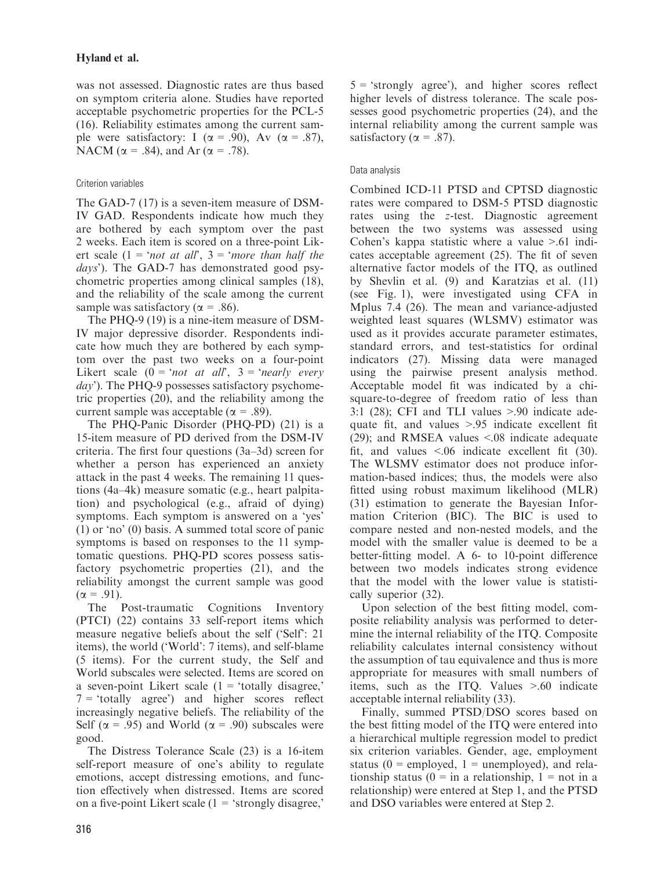was not assessed. Diagnostic rates are thus based on symptom criteria alone. Studies have reported acceptable psychometric properties for the PCL-5 (16). Reliability estimates among the current sample were satisfactory: I ( $\alpha$  = .90), Av ( $\alpha$  = .87), NACM ( $\alpha$  = .84), and Ar ( $\alpha$  = .78).

# Criterion variables

The GAD-7 (17) is a seven-item measure of DSM-IV GAD. Respondents indicate how much they are bothered by each symptom over the past 2 weeks. Each item is scored on a three-point Likert scale (1 = 'not at all', 3 = 'more than half the  $days'$ ). The GAD-7 has demonstrated good psychometric properties among clinical samples (18), and the reliability of the scale among the current sample was satisfactory ( $\alpha$  = .86).

The PHQ-9 (19) is a nine-item measure of DSM-IV major depressive disorder. Respondents indicate how much they are bothered by each symptom over the past two weeks on a four-point Likert scale  $(0 = 'not at all', 3 = 'nearly every$  $day'$ ). The PHQ-9 possesses satisfactory psychometric properties (20), and the reliability among the current sample was acceptable ( $\alpha$  = .89).

The PHQ-Panic Disorder (PHQ-PD) (21) is a 15-item measure of PD derived from the DSM-IV criteria. The first four questions (3a–3d) screen for whether a person has experienced an anxiety attack in the past 4 weeks. The remaining 11 questions (4a–4k) measure somatic (e.g., heart palpitation) and psychological (e.g., afraid of dying) symptoms. Each symptom is answered on a 'yes' (1) or 'no' (0) basis. A summed total score of panic symptoms is based on responses to the 11 symptomatic questions. PHQ-PD scores possess satisfactory psychometric properties (21), and the reliability amongst the current sample was good

 $(\alpha = .91).$ <br>The 1 Post-traumatic Cognitions Inventory (PTCI) (22) contains 33 self-report items which measure negative beliefs about the self ('Self': 21 items), the world ('World': 7 items), and self-blame (5 items). For the current study, the Self and World subscales were selected. Items are scored on a seven-point Likert scale  $(1 - 'totally disagree,'$  $7 = 'totally agree')$  and higher scores reflect increasingly negative beliefs. The reliability of the Self ( $\alpha$  = .95) and World ( $\alpha$  = .90) subscales were good.

The Distress Tolerance Scale (23) is a 16-item self-report measure of one's ability to regulate emotions, accept distressing emotions, and function effectively when distressed. Items are scored on a five-point Likert scale  $(1 - 'strongly disagree,'$   $5 = 'strongly agree'),$  and higher scores reflect higher levels of distress tolerance. The scale possesses good psychometric properties (24), and the internal reliability among the current sample was satisfactory ( $\alpha = .87$ ).

# Data analysis

Combined ICD-11 PTSD and CPTSD diagnostic rates were compared to DSM-5 PTSD diagnostic rates using the z-test. Diagnostic agreement between the two systems was assessed using Cohen's kappa statistic where a value >.61 indicates acceptable agreement (25). The fit of seven alternative factor models of the ITQ, as outlined by Shevlin et al. (9) and Karatzias et al. (11) (see Fig. 1), were investigated using CFA in Mplus 7.4 (26). The mean and variance-adjusted weighted least squares (WLSMV) estimator was used as it provides accurate parameter estimates, standard errors, and test-statistics for ordinal indicators (27). Missing data were managed using the pairwise present analysis method. Acceptable model fit was indicated by a chisquare-to-degree of freedom ratio of less than 3:1 (28); CFI and TLI values >.90 indicate adequate fit, and values >.95 indicate excellent fit (29); and RMSEA values <.08 indicate adequate fit, and values <.06 indicate excellent fit (30). The WLSMV estimator does not produce information-based indices; thus, the models were also fitted using robust maximum likelihood (MLR) (31) estimation to generate the Bayesian Information Criterion (BIC). The BIC is used to compare nested and non-nested models, and the model with the smaller value is deemed to be a better-fitting model. A 6- to 10-point difference between two models indicates strong evidence that the model with the lower value is statistically superior (32).

Upon selection of the best fitting model, composite reliability analysis was performed to determine the internal reliability of the ITQ. Composite reliability calculates internal consistency without the assumption of tau equivalence and thus is more appropriate for measures with small numbers of items, such as the ITQ. Values >.60 indicate acceptable internal reliability (33).

Finally, summed PTSD/DSO scores based on the best fitting model of the ITQ were entered into a hierarchical multiple regression model to predict six criterion variables. Gender, age, employment status ( $0 =$  employed,  $1 =$  unemployed), and relationship status (0 = in a relationship, 1 = not in a relationship) were entered at Step 1, and the PTSD and DSO variables were entered at Step 2.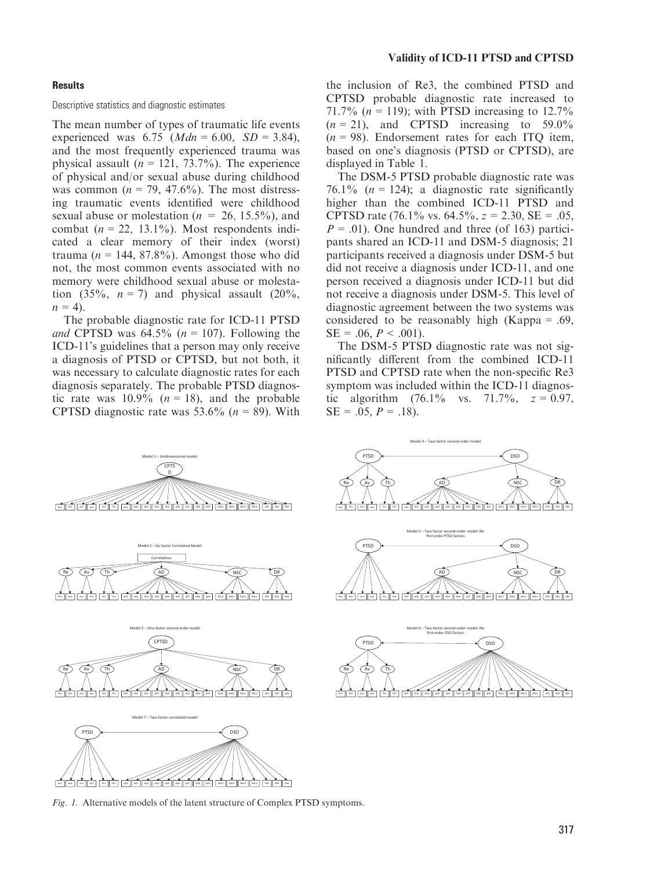#### **Results**

#### Descriptive statistics and diagnostic estimates

The mean number of types of traumatic life events experienced was  $6.75$  (*Mdn* =  $6.00$ , *SD* = 3.84), and the most frequently experienced trauma was physical assault ( $n = 121, 73.7\%$ ). The experience of physical and/or sexual abuse during childhood was common ( $n = 79, 47.6\%$ ). The most distressing traumatic events identified were childhood sexual abuse or molestation ( $n = 26$ , 15.5%), and combat ( $n = 22$ , 13.1%). Most respondents indicated a clear memory of their index (worst) trauma ( $n = 144, 87.8\%$ ). Amongst those who did not, the most common events associated with no memory were childhood sexual abuse or molestation (35%,  $n = 7$ ) and physical assault (20%,  $n = 4$ ).

The probable diagnostic rate for ICD-11 PTSD and CPTSD was  $64.5\%$  ( $n = 107$ ). Following the ICD-11's guidelines that a person may only receive a diagnosis of PTSD or CPTSD, but not both, it was necessary to calculate diagnostic rates for each diagnosis separately. The probable PTSD diagnostic rate was  $10.9\%$  ( $n = 18$ ), and the probable CPTSD diagnostic rate was 53.6% ( $n = 89$ ). With

#### Validity of ICD-11 PTSD and CPTSD

the inclusion of Re3, the combined PTSD and CPTSD probable diagnostic rate increased to 71.7% ( $n = 119$ ); with PTSD increasing to 12.7%  $(n = 21)$ , and CPTSD increasing to 59.0%  $(n = 98)$ . Endorsement rates for each ITQ item, based on one's diagnosis (PTSD or CPTSD), are displayed in Table 1.

The DSM-5 PTSD probable diagnostic rate was 76.1% ( $n = 124$ ); a diagnostic rate significantly higher than the combined ICD-11 PTSD and CPTSD rate  $(76.1\% \text{ vs. } 64.5\%, z = 2.30, \text{ SE} = .05,$  $P = .01$ ). One hundred and three (of 163) participants shared an ICD-11 and DSM-5 diagnosis; 21 participants received a diagnosis under DSM-5 but did not receive a diagnosis under ICD-11, and one person received a diagnosis under ICD-11 but did not receive a diagnosis under DSM-5. This level of diagnostic agreement between the two systems was considered to be reasonably high (Kappa = .69,  $SE = .06$ ,  $P < .001$ ).

The DSM-5 PTSD diagnostic rate was not significantly different from the combined ICD-11 PTSD and CPTSD rate when the non-specific Re3 symptom was included within the ICD-11 diagnostic algorithm  $(76.1\% \text{ vs. } 71.7\%, \text{ } z = 0.97,$  $SE = .05, P = .18$ .



Fig. 1. Alternative models of the latent structure of Complex PTSD symptoms.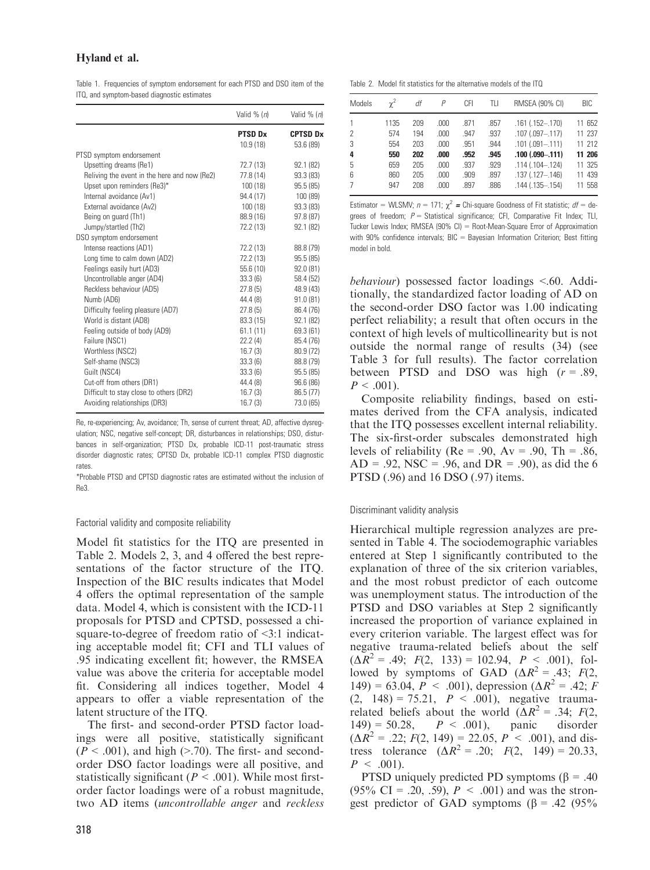Table 1. Frequencies of symptom endorsement for each PTSD and DSO item of the ITQ, and symptom-based diagnostic estimates

|                                              | Valid $% (n)$              | Valid $% (n)$                |
|----------------------------------------------|----------------------------|------------------------------|
|                                              | <b>PTSD Dx</b><br>10.9(18) | <b>CPTSD Dx</b><br>53.6 (89) |
| PTSD symptom endorsement                     |                            |                              |
| Upsetting dreams (Re1)                       | 72.7 (13)                  | 92.1 (82)                    |
| Reliving the event in the here and now (Re2) | 77.8 (14)                  | 93.3 (83)                    |
| Upset upon reminders (Re3)*                  | 100(18)                    | 95.5(85)                     |
| Internal avoidance (Av1)                     | 94.4 (17)                  | 100 (89)                     |
| External avoidance (Av2)                     | 100 (18)                   | 93.3 (83)                    |
| Being on quard (Th1)                         | 88.9 (16)                  | 97.8 (87)                    |
| Jumpy/startled (Th2)                         | 72.2 (13)                  | 92.1 (82)                    |
| DSO symptom endorsement                      |                            |                              |
| Intense reactions (AD1)                      | 72.2 (13)                  | 88.8 (79)                    |
| Long time to calm down (AD2)                 | 72.2 (13)                  | 95.5(85)                     |
| Feelings easily hurt (AD3)                   | 55.6(10)                   | 92.0(81)                     |
| Uncontrollable anger (AD4)                   | 33.3(6)                    | 58.4 (52)                    |
| Reckless behaviour (AD5)                     | 27.8(5)                    | 48.9 (43)                    |
| Numb (AD6)                                   | 44.4 (8)                   | 91.0 (81)                    |
| Difficulty feeling pleasure (AD7)            | 27.8(5)                    | 86.4 (76)                    |
| World is distant (AD8)                       | 83.3 (15)                  | 92.1 (82)                    |
| Feeling outside of body (AD9)                | 61.1(11)                   | 69.3 (61)                    |
| Failure (NSC1)                               | 22.2(4)                    | 85.4 (76)                    |
| Worthless (NSC2)                             | 16.7(3)                    | 80.9 (72)                    |
| Self-shame (NSC3)                            | 33.3(6)                    | 88.8 (79)                    |
| Guilt (NSC4)                                 | 33.3(6)                    | 95.5 (85)                    |
| Cut-off from others (DR1)                    | 44.4 (8)                   | 96.6(86)                     |
| Difficult to stay close to others (DR2)      | 16.7(3)                    | 86.5 (77)                    |
| Avoiding relationships (DR3)                 | 16.7(3)                    | 73.0 (65)                    |

Re, re-experiencing; Av, avoidance; Th, sense of current threat; AD, affective dysregulation; NSC, negative self-concept; DR, disturbances in relationships; DSO, disturbances in self-organization; PTSD Dx, probable ICD-11 post-traumatic stress disorder diagnostic rates; CPTSD Dx, probable ICD-11 complex PTSD diagnostic rates.

\*Probable PTSD and CPTSD diagnostic rates are estimated without the inclusion of Re3.

# Factorial validity and composite reliability

Model fit statistics for the ITQ are presented in Table 2. Models 2, 3, and 4 offered the best representations of the factor structure of the ITQ. Inspection of the BIC results indicates that Model 4 offers the optimal representation of the sample data. Model 4, which is consistent with the ICD-11 proposals for PTSD and CPTSD, possessed a chisquare-to-degree of freedom ratio of <3:1 indicating acceptable model fit; CFI and TLI values of .95 indicating excellent fit; however, the RMSEA value was above the criteria for acceptable model fit. Considering all indices together, Model 4 appears to offer a viable representation of the latent structure of the ITQ.

The first- and second-order PTSD factor loadings were all positive, statistically significant  $(P < .001)$ , and high  $(> .70)$ . The first- and secondorder DSO factor loadings were all positive, and statistically significant ( $P < .001$ ). While most firstorder factor loadings were of a robust magnitude, two AD items (uncontrollable anger and reckless

Table 2. Model fit statistics for the alternative models of the ITQ

| Models         | $\gamma^2$ | df  | Ρ     | CFI  | TLI  | RMSEA (90% CI)         | <b>BIC</b> |
|----------------|------------|-----|-------|------|------|------------------------|------------|
|                | 1135       | 209 | .000  | .871 | .857 | $.161$ $(.152 - .170)$ | 11 652     |
| $\overline{2}$ | 574        | 194 | .000  | .947 | .937 | $.107$ $(.097 - .117)$ | 11 237     |
| 3              | 554        | 203 | .000. | .951 | .944 | $.101(.091-.111)$      | 11 212     |
| 4              | 550        | 202 | .000  | .952 | .945 | $.100(.090-.111)$      | 11 206     |
| 5              | 659        | 205 | .000. | .937 | .929 | $.114(.104-.124)$      | 11 325     |
| 6              | 860        | 205 | .000. | .909 | .897 | $.137$ $(.127 - .146)$ | 11 439     |
| 7              | 947        | 208 | .000  | .897 | .886 | $.144$ $(.135 - .154)$ | 11 558     |

Estimator = WLSMV;  $n = 171$ ;  $\chi^2$  = Chi-square Goodness of Fit statistic;  $df =$  degrees of freedom;  $P =$  Statistical significance; CFI, Comparative Fit Index; TLI, Tucker Lewis Index; RMSEA (90% CI) = Root-Mean-Square Error of Approximation with 90% confidence intervals;  $BIC =$  Bayesian Information Criterion; Best fitting model in bold.

behaviour) possessed factor loadings <.60. Additionally, the standardized factor loading of AD on the second-order DSO factor was 1.00 indicating perfect reliability; a result that often occurs in the context of high levels of multicollinearity but is not outside the normal range of results (34) (see Table 3 for full results). The factor correlation between PTSD and DSO was high  $(r = .89)$ ,  $P < .001$ ).

Composite reliability findings, based on estimates derived from the CFA analysis, indicated that the ITQ possesses excellent internal reliability. The six-first-order subscales demonstrated high levels of reliability ( $Re = .90$ ,  $Av = .90$ ,  $Th = .86$ ,  $AD = .92$ , NSC = .96, and DR = .90), as did the 6 PTSD (.96) and 16 DSO (.97) items.

# Discriminant validity analysis

Hierarchical multiple regression analyzes are presented in Table 4. The sociodemographic variables entered at Step 1 significantly contributed to the explanation of three of the six criterion variables, and the most robust predictor of each outcome was unemployment status. The introduction of the PTSD and DSO variables at Step 2 significantly increased the proportion of variance explained in every criterion variable. The largest effect was for negative trauma-related beliefs about the self  $(\Delta R^2 = .49; F(2, 133) = 102.94, P < .001),$  followed by symptoms of GAD  $(\Delta R^2 = .43; F(2,$ 149) = 63.04,  $P \leq 0.001$ , depression ( $\Delta R^2 = .42$ ; F  $(2, 148) = 75.21, P < .001$ , negative traumarelated beliefs about the world  $(\Delta R^2 = .34; F(2,$  $149$  = 50.28,  $P < .001$ ), panic disorder  $(\Delta R^2 = .22; F(2, 149) = 22.05, P < .001)$ , and distress tolerance  $(\Delta R^2 = .20; \ F(2, 149) = 20.33,$  $P \le .001$ ).

PTSD uniquely predicted PD symptoms ( $\beta$  = .40 (95% CI = .20, .59),  $P < .001$ ) and was the strongest predictor of GAD symptoms ( $\beta$  = .42 (95%)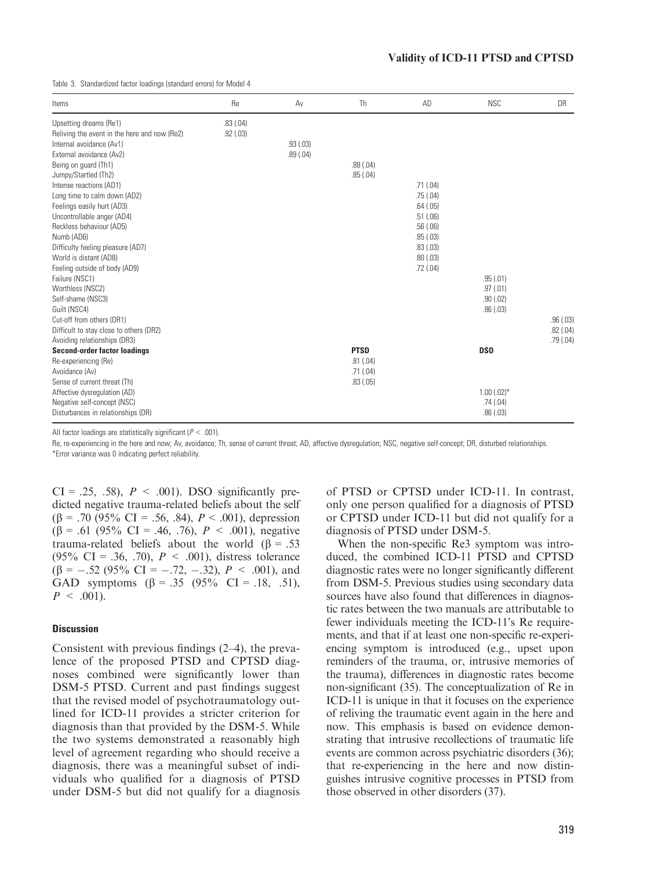Table 3. Standardized factor loadings (standard errors) for Model 4

| Items                                        | Re            | Av        | Th          | AD       | <b>NSC</b>      | <b>DR</b> |
|----------------------------------------------|---------------|-----------|-------------|----------|-----------------|-----------|
| Upsetting dreams (Re1)                       | .83(.04)      |           |             |          |                 |           |
| Reliving the event in the here and now (Re2) | $.92$ $(.03)$ |           |             |          |                 |           |
| Internal avoidance (Av1)                     |               | .93(0.03) |             |          |                 |           |
| External avoidance (Av2)                     |               | .89(.04)  |             |          |                 |           |
| Being on guard (Th1)                         |               |           | .88(.04)    |          |                 |           |
| Jumpy/Startled (Th2)                         |               |           | .85(.04)    |          |                 |           |
| Intense reactions (AD1)                      |               |           |             | .71(.04) |                 |           |
| Long time to calm down (AD2)                 |               |           |             | .75(.04) |                 |           |
| Feelings easily hurt (AD3)                   |               |           |             | .64(.05) |                 |           |
| Uncontrollable anger (AD4)                   |               |           |             | .51(.06) |                 |           |
| Reckless behaviour (AD5)                     |               |           |             | .56(.06) |                 |           |
| Numb (AD6)                                   |               |           |             | .85(.03) |                 |           |
| Difficulty feeling pleasure (AD7)            |               |           |             | .83(.03) |                 |           |
| World is distant (AD8)                       |               |           |             | .80(.03) |                 |           |
| Feeling outside of body (AD9)                |               |           |             | .72(.04) |                 |           |
| Failure (NSC1)                               |               |           |             |          | .95(.01)        |           |
| Worthless (NSC2)                             |               |           |             |          | .97(01)         |           |
| Self-shame (NSC3)                            |               |           |             |          | .90(.02)        |           |
| Guilt (NSC4)                                 |               |           |             |          | .86(.03)        |           |
| Cut-off from others (DR1)                    |               |           |             |          |                 | .96(.03)  |
| Difficult to stay close to others (DR2)      |               |           |             |          |                 | .82(.04)  |
| Avoiding relationships (DR3)                 |               |           |             |          |                 | .79(.04)  |
| <b>Second-order factor loadings</b>          |               |           | <b>PTSD</b> |          | DS <sub>0</sub> |           |
| Re-experiencing (Re)                         |               |           | .81(.04)    |          |                 |           |
| Avoidance (Av)                               |               |           | .71(.04)    |          |                 |           |
| Sense of current threat (Th)                 |               |           | .83(.05)    |          |                 |           |
| Affective dysregulation (AD)                 |               |           |             |          | $1.00$ $(.02)*$ |           |
| Negative self-concept (NSC)                  |               |           |             |          | .74(.04)        |           |
| Disturbances in relationships (DR)           |               |           |             |          | .86(.03)        |           |

All factor loadings are statistically significant ( $P < .001$ ).

Re, re-experiencing in the here and now; Av, avoidance; Th, sense of current threat; AD, affective dysregulation; NSC, negative self-concept; DR, disturbed relationships. \*Error variance was 0 indicating perfect reliability.

 $CI = .25, .58$ ,  $P < .001$ ). DSO significantly predicted negative trauma-related beliefs about the self  $(\beta = .70 \ (95\% \ CI = .56, .84), P < .001)$ , depression  $(\beta = .61 \ (95\% \ \text{CI} = .46, .76), P < .001)$ , negative trauma-related beliefs about the world  $(\beta = .53)$ (95% CI = .36, .70),  $P < .001$ ), distress tolerance  $(\beta = -.52 \ (95\% \ CI = -.72, -.32), P < .001),$  and GAD symptoms  $(\beta = .35 \ (95\% \ \text{CI} = .18, .51),$  $P < .001$ ).

#### **Discussion**

Consistent with previous findings (2–4), the prevalence of the proposed PTSD and CPTSD diagnoses combined were significantly lower than DSM-5 PTSD. Current and past findings suggest that the revised model of psychotraumatology outlined for ICD-11 provides a stricter criterion for diagnosis than that provided by the DSM-5. While the two systems demonstrated a reasonably high level of agreement regarding who should receive a diagnosis, there was a meaningful subset of individuals who qualified for a diagnosis of PTSD under DSM-5 but did not qualify for a diagnosis of PTSD or CPTSD under ICD-11. In contrast, only one person qualified for a diagnosis of PTSD or CPTSD under ICD-11 but did not qualify for a diagnosis of PTSD under DSM-5.

When the non-specific Re3 symptom was introduced, the combined ICD-11 PTSD and CPTSD diagnostic rates were no longer significantly different from DSM-5. Previous studies using secondary data sources have also found that differences in diagnostic rates between the two manuals are attributable to fewer individuals meeting the ICD-11's Re requirements, and that if at least one non-specific re-experiencing symptom is introduced (e.g., upset upon reminders of the trauma, or, intrusive memories of the trauma), differences in diagnostic rates become non-significant (35). The conceptualization of Re in ICD-11 is unique in that it focuses on the experience of reliving the traumatic event again in the here and now. This emphasis is based on evidence demonstrating that intrusive recollections of traumatic life events are common across psychiatric disorders (36); that re-experiencing in the here and now distinguishes intrusive cognitive processes in PTSD from those observed in other disorders (37).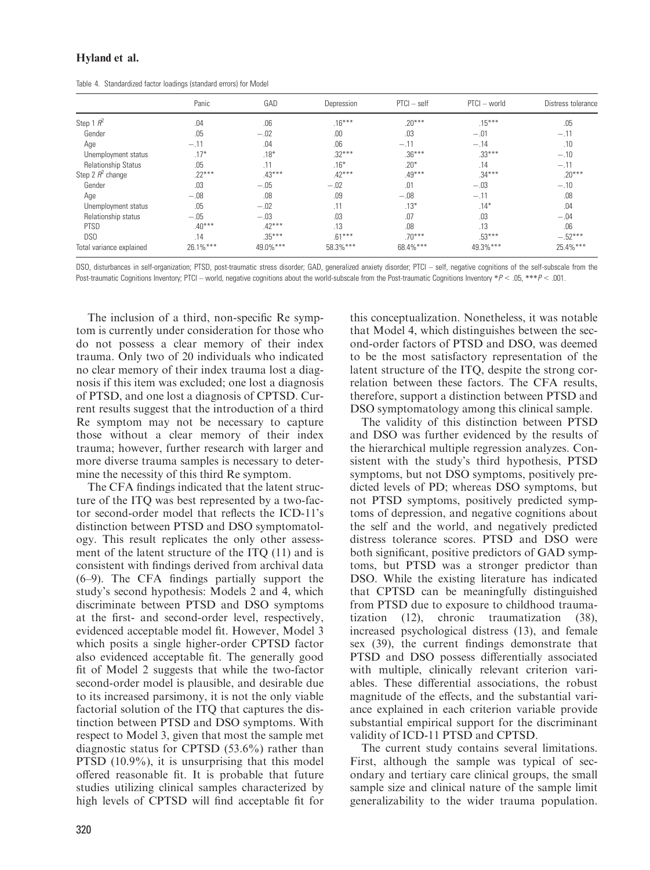Table 4. Standardized factor loadings (standard errors) for Model

|                          | Panic       | GAD      | Depression | $PTCl - self$ | PTCI - world | Distress tolerance |
|--------------------------|-------------|----------|------------|---------------|--------------|--------------------|
| Step 1 $R^2$             | .04         | .06      | $.16***$   | $.20***$      | $.15***$     | .05                |
| Gender                   | .05         | $-.02$   | .00        | .03           | $-.01$       | $-.11$             |
| Age                      | $-.11$      | .04      | .06        | $-.11$        | $-.14$       | .10                |
| Unemployment status      | $.17*$      | $.18*$   | $.32***$   | $.36***$      | $.33***$     | $-.10$             |
| Relationship Status      | .05         | .11      | $.16*$     | $.20*$        | .14          | $-.11$             |
| Step 2 $R^2$ change      | $.22***$    | $.43***$ | $.42***$   | $.49***$      | $.34***$     | $.20***$           |
| Gender                   | .03         | $-.05$   | $-.02$     | .01           | $-.03$       | $-.10$             |
| Age                      | $-.08$      | .08      | .09        | $-.08$        | $-.11$       | .08                |
| Unemployment status      | .05         | $-.02$   | .11        | $.13*$        | $.14*$       | .04                |
| Relationship status      | $-.05$      | $-.03$   | .03        | .07           | .03          | $-.04$             |
| <b>PTSD</b>              | $.40***$    | $.42***$ | .13        | .08           | .13          | .06                |
| DS <sub>0</sub>          | .14         | $.35***$ | $.61***$   | $.70***$      | $.53***$     | $-.52***$          |
| Total variance explained | $26.1\%***$ | 49.0%*** | 58.3%***   | 68.4%***      | 49.3%***     | 25.4%***           |

DSO, disturbances in self-organization; PTSD, post-traumatic stress disorder; GAD, generalized anxiety disorder; PTCI – self, negative cognitions of the self-subscale from the Post-traumatic Cognitions Inventory; PTCI – world, negative cognitions about the world-subscale from the Post-traumatic Cognitions Inventory  $*P < .05$ ,  $***P < .001$ .

The inclusion of a third, non-specific Re symptom is currently under consideration for those who do not possess a clear memory of their index trauma. Only two of 20 individuals who indicated no clear memory of their index trauma lost a diagnosis if this item was excluded; one lost a diagnosis of PTSD, and one lost a diagnosis of CPTSD. Current results suggest that the introduction of a third Re symptom may not be necessary to capture those without a clear memory of their index trauma; however, further research with larger and more diverse trauma samples is necessary to determine the necessity of this third Re symptom.

The CFA findings indicated that the latent structure of the ITQ was best represented by a two-factor second-order model that reflects the ICD-11's distinction between PTSD and DSO symptomatology. This result replicates the only other assessment of the latent structure of the ITQ (11) and is consistent with findings derived from archival data (6–9). The CFA findings partially support the study's second hypothesis: Models 2 and 4, which discriminate between PTSD and DSO symptoms at the first- and second-order level, respectively, evidenced acceptable model fit. However, Model 3 which posits a single higher-order CPTSD factor also evidenced acceptable fit. The generally good fit of Model 2 suggests that while the two-factor second-order model is plausible, and desirable due to its increased parsimony, it is not the only viable factorial solution of the ITQ that captures the distinction between PTSD and DSO symptoms. With respect to Model 3, given that most the sample met diagnostic status for CPTSD (53.6%) rather than PTSD (10.9%), it is unsurprising that this model offered reasonable fit. It is probable that future studies utilizing clinical samples characterized by high levels of CPTSD will find acceptable fit for this conceptualization. Nonetheless, it was notable that Model 4, which distinguishes between the second-order factors of PTSD and DSO, was deemed to be the most satisfactory representation of the latent structure of the ITQ, despite the strong correlation between these factors. The CFA results, therefore, support a distinction between PTSD and DSO symptomatology among this clinical sample.

The validity of this distinction between PTSD and DSO was further evidenced by the results of the hierarchical multiple regression analyzes. Consistent with the study's third hypothesis, PTSD symptoms, but not DSO symptoms, positively predicted levels of PD; whereas DSO symptoms, but not PTSD symptoms, positively predicted symptoms of depression, and negative cognitions about the self and the world, and negatively predicted distress tolerance scores. PTSD and DSO were both significant, positive predictors of GAD symptoms, but PTSD was a stronger predictor than DSO. While the existing literature has indicated that CPTSD can be meaningfully distinguished from PTSD due to exposure to childhood traumatization (12), chronic traumatization (38), increased psychological distress (13), and female sex (39), the current findings demonstrate that PTSD and DSO possess differentially associated with multiple, clinically relevant criterion variables. These differential associations, the robust magnitude of the effects, and the substantial variance explained in each criterion variable provide substantial empirical support for the discriminant validity of ICD-11 PTSD and CPTSD.

The current study contains several limitations. First, although the sample was typical of secondary and tertiary care clinical groups, the small sample size and clinical nature of the sample limit generalizability to the wider trauma population.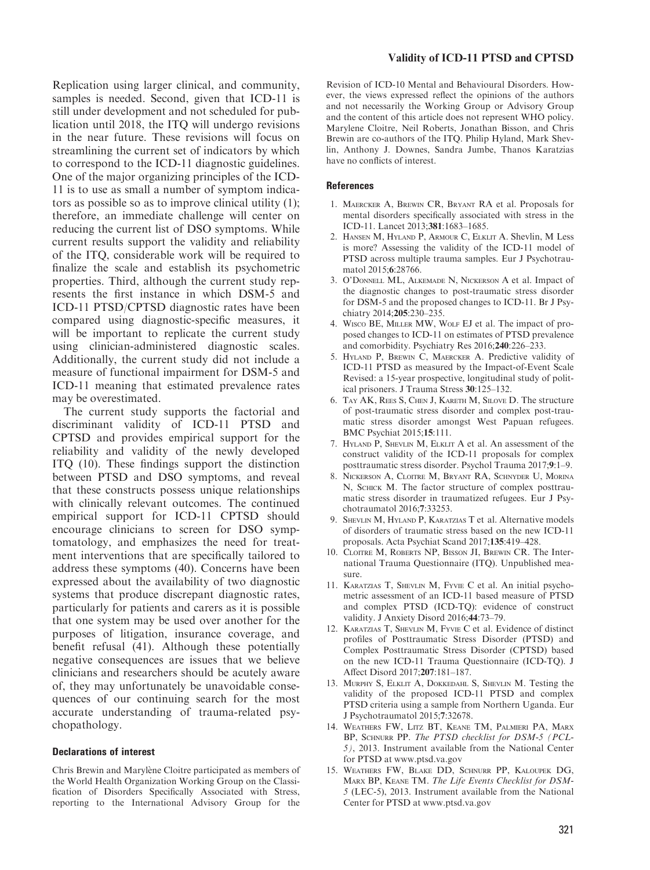Replication using larger clinical, and community, samples is needed. Second, given that ICD-11 is still under development and not scheduled for publication until 2018, the ITQ will undergo revisions in the near future. These revisions will focus on streamlining the current set of indicators by which to correspond to the ICD-11 diagnostic guidelines. One of the major organizing principles of the ICD-11 is to use as small a number of symptom indicators as possible so as to improve clinical utility (1); therefore, an immediate challenge will center on reducing the current list of DSO symptoms. While current results support the validity and reliability of the ITQ, considerable work will be required to finalize the scale and establish its psychometric properties. Third, although the current study represents the first instance in which DSM-5 and ICD-11 PTSD/CPTSD diagnostic rates have been compared using diagnostic-specific measures, it will be important to replicate the current study using clinician-administered diagnostic scales. Additionally, the current study did not include a measure of functional impairment for DSM-5 and ICD-11 meaning that estimated prevalence rates may be overestimated.

The current study supports the factorial and discriminant validity of ICD-11 PTSD and CPTSD and provides empirical support for the reliability and validity of the newly developed ITQ (10). These findings support the distinction between PTSD and DSO symptoms, and reveal that these constructs possess unique relationships with clinically relevant outcomes. The continued empirical support for ICD-11 CPTSD should encourage clinicians to screen for DSO symptomatology, and emphasizes the need for treatment interventions that are specifically tailored to address these symptoms (40). Concerns have been expressed about the availability of two diagnostic systems that produce discrepant diagnostic rates, particularly for patients and carers as it is possible that one system may be used over another for the purposes of litigation, insurance coverage, and benefit refusal (41). Although these potentially negative consequences are issues that we believe clinicians and researchers should be acutely aware of, they may unfortunately be unavoidable consequences of our continuing search for the most accurate understanding of trauma-related psychopathology.

#### Declarations of interest

Chris Brewin and Marylene Cloitre participated as members of the World Health Organization Working Group on the Classification of Disorders Specifically Associated with Stress, reporting to the International Advisory Group for the

### Validity of ICD-11 PTSD and CPTSD

Revision of ICD-10 Mental and Behavioural Disorders. However, the views expressed reflect the opinions of the authors and not necessarily the Working Group or Advisory Group and the content of this article does not represent WHO policy. Marylene Cloitre, Neil Roberts, Jonathan Bisson, and Chris Brewin are co-authors of the ITQ. Philip Hyland, Mark Shevlin, Anthony J. Downes, Sandra Jumbe, Thanos Karatzias have no conflicts of interest.

#### References

- 1. Maercker A, Brewin CR, Bryant RA et al. Proposals for mental disorders specifically associated with stress in the ICD-11. Lancet 2013;381:1683–1685.
- 2. Hansen M, Hyland P, Armour C, Elklit A. Shevlin, M Less is more? Assessing the validity of the ICD-11 model of PTSD across multiple trauma samples. Eur J Psychotraumatol 2015;6:28766.
- 3. O'Donnell ML, Alkemade N, Nickerson A et al. Impact of the diagnostic changes to post-traumatic stress disorder for DSM-5 and the proposed changes to ICD-11. Br J Psychiatry 2014;205:230–235.
- 4. Wisco BE, Miller MW, Wolf EJ et al. The impact of proposed changes to ICD-11 on estimates of PTSD prevalence and comorbidity. Psychiatry Res 2016;240:226–233.
- 5. Hyland P, Brewin C, Maercker A. Predictive validity of ICD-11 PTSD as measured by the Impact-of-Event Scale Revised: a 15-year prospective, longitudinal study of political prisoners. J Trauma Stress 30:125–132.
- 6. Tay AK, Rees S, Chen J, Kareth M, Silove D. The structure of post-traumatic stress disorder and complex post-traumatic stress disorder amongst West Papuan refugees. BMC Psychiat 2015;15:111.
- 7. Hyland P, Shevlin M, Elklit A et al. An assessment of the construct validity of the ICD-11 proposals for complex posttraumatic stress disorder. Psychol Trauma 2017;9:1–9.
- 8. Nickerson A, Cloitre M, Bryant RA, Schnyder U, Morina N, SCHICK M. The factor structure of complex posttraumatic stress disorder in traumatized refugees. Eur J Psychotraumatol 2016;7:33253.
- 9. SHEVLIN M, HYLAND P, KARATZIAS T et al. Alternative models of disorders of traumatic stress based on the new ICD-11 proposals. Acta Psychiat Scand 2017;135:419–428.
- 10. CLOITRE M, ROBERTS NP, BISSON JI, BREWIN CR. The International Trauma Questionnaire (ITQ). Unpublished measure.
- 11. KARATZIAS T, SHEVLIN M, FYVIE C et al. An initial psychometric assessment of an ICD-11 based measure of PTSD and complex PTSD (ICD-TQ): evidence of construct validity. J Anxiety Disord 2016;44:73–79.
- 12. KARATZIAS T, SHEVLIN M, FYVIE C et al. Evidence of distinct profiles of Posttraumatic Stress Disorder (PTSD) and Complex Posttraumatic Stress Disorder (CPTSD) based on the new ICD-11 Trauma Questionnaire (ICD-TQ). J Affect Disord 2017;207:181–187.
- 13. Murphy S, Elklit A, Dokkedahl S, Shevlin M. Testing the validity of the proposed ICD-11 PTSD and complex PTSD criteria using a sample from Northern Uganda. Eur J Psychotraumatol 2015;7:32678.
- 14. WEATHERS FW, LITZ BT, KEANE TM, PALMIERI PA, MARX BP, SCHNURR PP. The PTSD checklist for DSM-5 (PCL-5), 2013. Instrument available from the National Center for PTSD at [www.ptsd.va.gov](http://www.ptsd.va.gov)
- 15. WEATHERS FW, BLAKE DD, SCHNURR PP, KALOUPEK DG, MARX BP, KEANE TM. The Life Events Checklist for DSM-5 (LEC-5), 2013. Instrument available from the National Center for PTSD at [www.ptsd.va.gov](http://www.ptsd.va.gov)